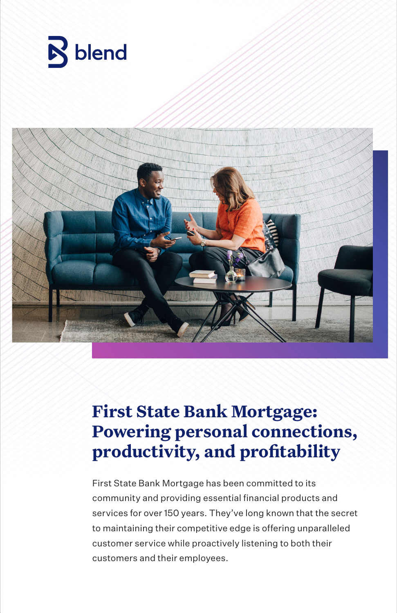



### **First State Bank Mortgage: Powering personal connections, productivity, and profitability**

First State Bank Mortgage has been committed to its community and providing essential financial products and services for over 150 years. They've long known that the secret to maintaining their competitive edge is offering unparalleled customer service while proactively listening to both their customers and their employees.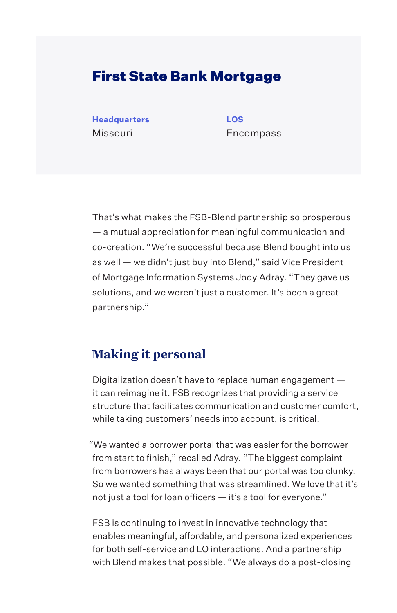### First State Bank Mortgage

**Headquarters LOS** Missouri Encompass

That's what makes the FSB-Blend partnership so prosperous — a mutual appreciation for meaningful communication and co-creation. "We're successful because Blend bought into us as well — we didn't just buy into Blend," said Vice President of Mortgage Information Systems Jody Adray. "They gave us solutions, and we weren't just a customer. It's been a great partnership."

#### **Making it personal**

Digitalization doesn't have to replace human engagement it can reimagine it. FSB recognizes that providing a service structure that facilitates communication and customer comfort, while taking customers' needs into account, is critical.

"We wanted a borrower portal that was easier for the borrower from start to finish," recalled Adray. "The biggest complaint from borrowers has always been that our portal was too clunky. So we wanted something that was streamlined. We love that it's not just a tool for loan officers — it's a tool for everyone."

FSB is continuing to invest in innovative technology that enables meaningful, affordable, and personalized experiences for both self-service and LO interactions. And a partnership with Blend makes that possible. "We always do a post-closing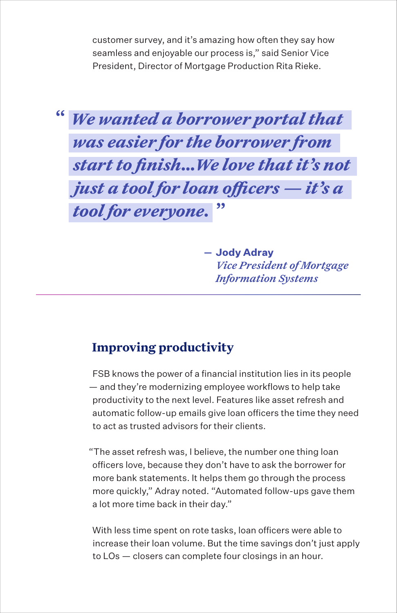customer survey, and it's amazing how often they say how seamless and enjoyable our process is," said Senior Vice President, Director of Mortgage Production Rita Rieke.



**Jody Adray** *Vice President of Mortgage Information Systems* 

#### **Improving productivity**

FSB knows the power of a financial institution lies in its people — and they're modernizing employee workflows to help take productivity to the next level. Features like asset refresh and automatic follow-up emails give loan officers the time they need to act as trusted advisors for their clients.

"The asset refresh was, I believe, the number one thing loan officers love, because they don't have to ask the borrower for more bank statements. It helps them go through the process more quickly," Adray noted. "Automated follow-ups gave them a lot more time back in their day."

With less time spent on rote tasks, loan officers were able to increase their loan volume. But the time savings don't just apply to LOs — closers can complete four closings in an hour.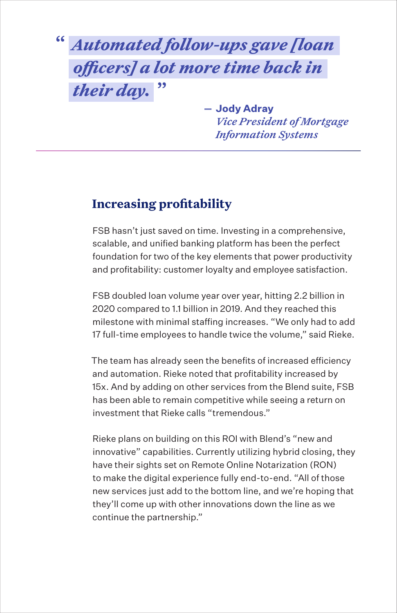## *Automated follow-ups gave [loan*  **"** *officers] a lot more time back in their day.* **"**

**Jody Adray** *Vice President of Mortgage Information Systems* 

### **Increasing profitability**

FSB hasn't just saved on time. Investing in a comprehensive, scalable, and unified banking platform has been the perfect foundation for two of the key elements that power productivity and profitability: customer loyalty and employee satisfaction.

FSB doubled loan volume year over year, hitting 2.2 billion in 2020 compared to 1.1 billion in 2019. And they reached this milestone with minimal staffing increases. "We only had to add 17 full-time employees to handle twice the volume," said Rieke.

The team has already seen the benefits of increased efficiency and automation. Rieke noted that profitability increased by 15x. And by adding on other services from the Blend suite, FSB has been able to remain competitive while seeing a return on investment that Rieke calls "tremendous."

Rieke plans on building on this ROI with Blend's "new and innovative" capabilities. Currently utilizing hybrid closing, they have their sights set on Remote Online Notarization (RON) to make the digital experience fully end-to-end. "All of those new services just add to the bottom line, and we're hoping that they'll come up with other innovations down the line as we continue the partnership."